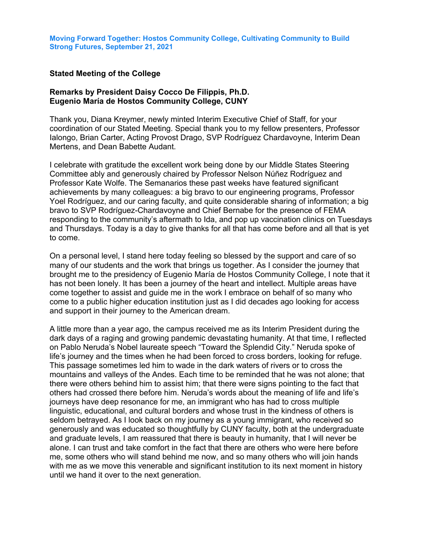## **Stated Meeting of the College**

## **Remarks by President Daisy Cocco De Filippis, Ph.D. Eugenio María de Hostos Community College, CUNY**

Thank you, Diana Kreymer, newly minted Interim Executive Chief of Staff, for your coordination of our Stated Meeting. Special thank you to my fellow presenters, Professor Ialongo, Brian Carter, Acting Provost Drago, SVP Rodríguez Chardavoyne, Interim Dean Mertens, and Dean Babette Audant.

I celebrate with gratitude the excellent work being done by our Middle States Steering Committee ably and generously chaired by Professor Nelson Núñez Rodríguez and Professor Kate Wolfe. The Semanarios these past weeks have featured significant achievements by many colleagues: a big bravo to our engineering programs, Professor Yoel Rodríguez, and our caring faculty, and quite considerable sharing of information; a big bravo to SVP Rodríguez-Chardavoyne and Chief Bernabe for the presence of FEMA responding to the community's aftermath to Ida, and pop up vaccination clinics on Tuesdays and Thursdays. Today is a day to give thanks for all that has come before and all that is yet to come.

On a personal level, I stand here today feeling so blessed by the support and care of so many of our students and the work that brings us together. As I consider the journey that brought me to the presidency of Eugenio María de Hostos Community College, I note that it has not been lonely. It has been a journey of the heart and intellect. Multiple areas have come together to assist and guide me in the work I embrace on behalf of so many who come to a public higher education institution just as I did decades ago looking for access and support in their journey to the American dream.

A little more than a year ago, the campus received me as its Interim President during the dark days of a raging and growing pandemic devastating humanity. At that time, I reflected on Pablo Neruda's Nobel laureate speech "Toward the Splendid City." Neruda spoke of life's journey and the times when he had been forced to cross borders, looking for refuge. This passage sometimes led him to wade in the dark waters of rivers or to cross the mountains and valleys of the Andes. Each time to be reminded that he was not alone; that there were others behind him to assist him; that there were signs pointing to the fact that others had crossed there before him. Neruda's words about the meaning of life and life's journeys have deep resonance for me, an immigrant who has had to cross multiple linguistic, educational, and cultural borders and whose trust in the kindness of others is seldom betrayed. As I look back on my journey as a young immigrant, who received so generously and was educated so thoughtfully by CUNY faculty, both at the undergraduate and graduate levels, I am reassured that there is beauty in humanity, that I will never be alone. I can trust and take comfort in the fact that there are others who were here before me, some others who will stand behind me now, and so many others who will join hands with me as we move this venerable and significant institution to its next moment in history until we hand it over to the next generation.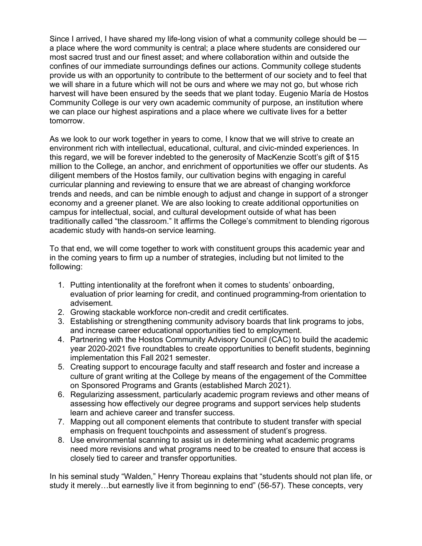Since I arrived, I have shared my life-long vision of what a community college should be a place where the word community is central; a place where students are considered our most sacred trust and our finest asset; and where collaboration within and outside the confines of our immediate surroundings defines our actions. Community college students provide us with an opportunity to contribute to the betterment of our society and to feel that we will share in a future which will not be ours and where we may not go, but whose rich harvest will have been ensured by the seeds that we plant today. Eugenio María de Hostos Community College is our very own academic community of purpose, an institution where we can place our highest aspirations and a place where we cultivate lives for a better tomorrow.

As we look to our work together in years to come, I know that we will strive to create an environment rich with intellectual, educational, cultural, and civic-minded experiences. In this regard, we will be forever indebted to the generosity of MacKenzie Scott's gift of \$15 million to the College, an anchor, and enrichment of opportunities we offer our students. As diligent members of the Hostos family, our cultivation begins with engaging in careful curricular planning and reviewing to ensure that we are abreast of changing workforce trends and needs, and can be nimble enough to adjust and change in support of a stronger economy and a greener planet. We are also looking to create additional opportunities on campus for intellectual, social, and cultural development outside of what has been traditionally called "the classroom." It affirms the College's commitment to blending rigorous academic study with hands-on service learning.

To that end, we will come together to work with constituent groups this academic year and in the coming years to firm up a number of strategies, including but not limited to the following:

- 1. Putting intentionality at the forefront when it comes to students' onboarding, evaluation of prior learning for credit, and continued programming-from orientation to advisement.
- 2. Growing stackable workforce non-credit and credit certificates.
- 3. Establishing or strengthening community advisory boards that link programs to jobs, and increase career educational opportunities tied to employment.
- 4. Partnering with the Hostos Community Advisory Council (CAC) to build the academic year 2020-2021 five roundtables to create opportunities to benefit students, beginning implementation this Fall 2021 semester.
- 5. Creating support to encourage faculty and staff research and foster and increase a culture of grant writing at the College by means of the engagement of the Committee on Sponsored Programs and Grants (established March 2021).
- 6. Regularizing assessment, particularly academic program reviews and other means of assessing how effectively our degree programs and support services help students learn and achieve career and transfer success.
- 7. Mapping out all component elements that contribute to student transfer with special emphasis on frequent touchpoints and assessment of student's progress.
- 8. Use environmental scanning to assist us in determining what academic programs need more revisions and what programs need to be created to ensure that access is closely tied to career and transfer opportunities.

In his seminal study "Walden*,*" Henry Thoreau explains that "students should not plan life, or study it merely…but earnestly live it from beginning to end" (56-57). These concepts, very